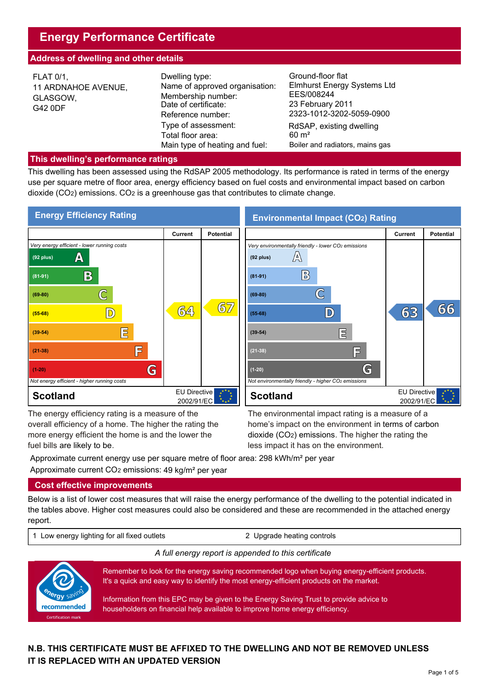# **Energy Performance Certificate**

## **Address of dwelling and other details**

| <b>FLAT 0/1,</b><br>11 ARDNAHOE AVENUE,<br>GLASGOW,<br>G42 0DF | Ground-floor flat<br>Dwelling type:<br>Name of approved organisation:<br>EES/008244<br>Membership number:<br>23 February 2011<br>Date of certificate:<br>Reference number: | <b>Elmhurst Energy Systems Ltd</b><br>2323-1012-3202-5059-0900                  |
|----------------------------------------------------------------|----------------------------------------------------------------------------------------------------------------------------------------------------------------------------|---------------------------------------------------------------------------------|
|                                                                | Type of assessment:<br>Total floor area:<br>Main type of heating and fuel:                                                                                                 | RdSAP, existing dwelling<br>$60 \text{ m}^2$<br>Boiler and radiators, mains gas |

#### **This dwelling's performance ratings**

This dwelling has been assessed using the RdSAP 2005 methodology. Its performance is rated in terms of the energy use per square metre of floor area, energy efficiency based on fuel costs and environmental impact based on carbon dioxide (CO2) emissions. CO2 is a greenhouse gas that contributes to climate change.



The energy efficiency rating is a measure of the overall efficiency of a home. The higher the rating the more energy efficient the home is and the lower the

The energy efficiency rating is a measure of the The environmental impact rating is a measure of a<br>overall efficiency of a home. The higher the rating the home's impact on the environment in terms of carbon<br>more energy eff home's impact on the environment in terms of carbon dioxide (CO2) emissions. The higher the rating the less impact it has on the environment.

Approximate current energy use per square metre of floor area: 298 kWh/m² per year Approximate current CO2 emissions: 49 kg/m² per year

## **Cost effective improvements**

Below is a list of lower cost measures that will raise the energy performance of the dwelling to the potential indicated in the tables above. Higher cost measures could also be considered and these are recommended in the attached energy report.

1 Low energy lighting for all fixed outlets 2 Upgrade heating controls

#### *A full energy report is appended to this certificate*



Remember to look for the energy saving recommended logo when buying energy-efficient products. It's a quick and easy way to identify the most energy-efficient products on the market.

Information from this EPC may be given to the Energy Saving Trust to provide advice to householders on financial help available to improve home energy efficiency.

## **N.B. THIS CERTIFICATE MUST BE AFFIXED TO THE DWELLING AND NOT BE REMOVED UNLESS IT IS REPLACED WITH AN UPDATED VERSION**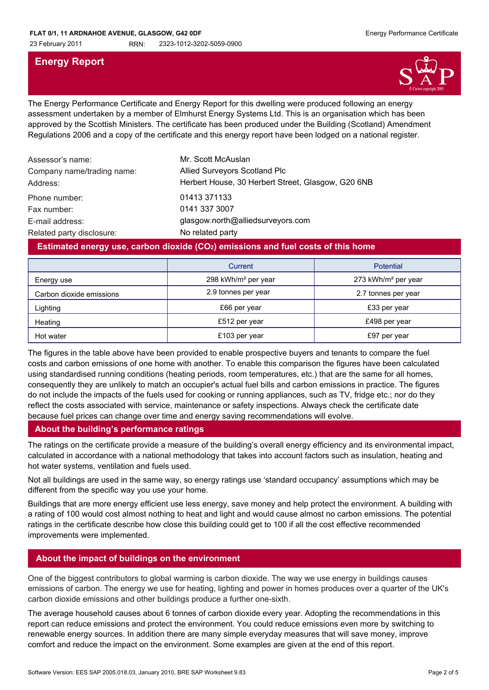## **Energy Report**



The Energy Performance Certificate and Energy Report for this dwelling were produced following an energy assessment undertaken by a member of Elmhurst Energy Systems Ltd. This is an organisation which has been approved by the Scottish Ministers. The certificate has been produced under the Building (Scotland) Amendment Regulations 2006 and a copy of the certificate and this energy report have been lodged on a national register.

| Assessor's name:<br>Company name/trading name:<br>Address: | Mr. Scott McAuslan<br>Allied Surveyors Scotland Plc<br>Herbert House, 30 Herbert Street, Glasgow, G20 6NB |
|------------------------------------------------------------|-----------------------------------------------------------------------------------------------------------|
| Phone number:                                              | 01413 371133                                                                                              |
| Fax number:                                                | 0141 337 3007                                                                                             |
| E-mail address:                                            | glasgow.north@alliedsurveyors.com                                                                         |
| Related party disclosure:                                  | No related party                                                                                          |

## **Estimated energy use, carbon dioxide (CO2) emissions and fuel costs of this home**

|                          | Current                         | <b>Potential</b>                |
|--------------------------|---------------------------------|---------------------------------|
| Energy use               | 298 kWh/m <sup>2</sup> per year | 273 kWh/m <sup>2</sup> per year |
| Carbon dioxide emissions | 2.9 tonnes per year             | 2.7 tonnes per year             |
| Lighting                 | £66 per year                    | £33 per year                    |
| Heating                  | £512 per year                   | £498 per year                   |
| Hot water                | £103 per year                   | £97 per year                    |

The figures in the table above have been provided to enable prospective buyers and tenants to compare the fuel costs and carbon emissions of one home with another. To enable this comparison the figures have been calculated using standardised running conditions (heating periods, room temperatures, etc.) that are the same for all homes, consequently they are unlikely to match an occupier's actual fuel bills and carbon emissions in practice. The figures do not include the impacts of the fuels used for cooking or running appliances, such as TV, fridge etc.; nor do they reflect the costs associated with service, maintenance or safety inspections. Always check the certificate date because fuel prices can change over time and energy saving recommendations will evolve.

## **About the building's performance ratings**

The ratings on the certificate provide a measure of the building's overall energy efficiency and its environmental impact, calculated in accordance with a national methodology that takes into account factors such as insulation, heating and hot water systems, ventilation and fuels used.

Not all buildings are used in the same way, so energy ratings use 'standard occupancy' assumptions which may be different from the specific way you use your home.

Buildings that are more energy efficient use less energy, save money and help protect the environment. A building with a rating of 100 would cost almost nothing to heat and light and would cause almost no carbon emissions. The potential ratings in the certificate describe how close this building could get to 100 if all the cost effective recommended improvements were implemented.

## **About the impact of buildings on the environment**

One of the biggest contributors to global warming is carbon dioxide. The way we use energy in buildings causes emissions of carbon. The energy we use for heating, lighting and power in homes produces over a quarter of the UK's carbon dioxide emissions and other buildings produce a further one-sixth.

The average household causes about 6 tonnes of carbon dioxide every year. Adopting the recommendations in this report can reduce emissions and protect the environment. You could reduce emissions even more by switching to renewable energy sources. In addition there are many simple everyday measures that will save money, improve comfort and reduce the impact on the environment. Some examples are given at the end of this report.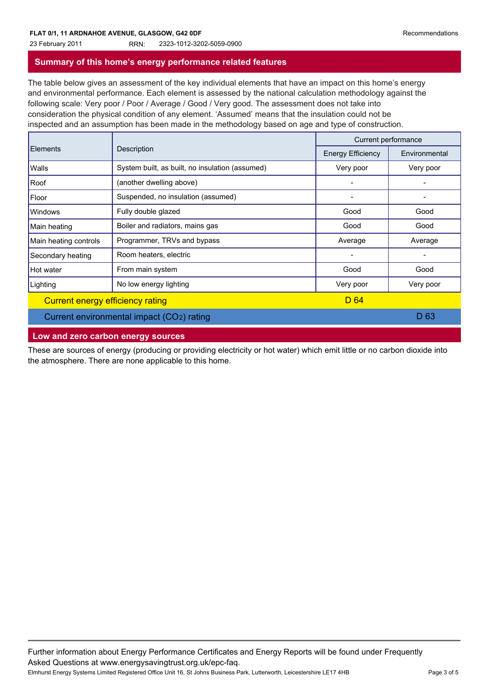# 23 February 2011 RRN: 2323-1012-3202-5059-0900

#### **Summary of this home's energy performance related features**

The table below gives an assessment of the key individual elements that have an impact on this home's energy and environmental performance. Each element is assessed by the national calculation methodology against the following scale: Very poor / Poor / Average / Good / Very good. The assessment does not take into consideration the physical condition of any element. 'Assumed' means that the insulation could not be inspected and an assumption has been made in the methodology based on age and type of construction.

| <b>Elements</b>                           | Description                                     | Current performance      |               |
|-------------------------------------------|-------------------------------------------------|--------------------------|---------------|
|                                           |                                                 | <b>Energy Efficiency</b> | Environmental |
| Walls                                     | System built, as built, no insulation (assumed) | Very poor                | Very poor     |
| Roof                                      | (another dwelling above)                        | -                        |               |
| Floor                                     | Suspended, no insulation (assumed)              |                          |               |
| Windows                                   | Fully double glazed                             | Good                     | Good          |
| Main heating                              | Boiler and radiators, mains gas                 | Good                     | Good          |
| Main heating controls                     | Programmer, TRVs and bypass                     | Average                  | Average       |
| Secondary heating                         | Room heaters, electric                          | $\overline{\phantom{a}}$ |               |
| Hot water                                 | From main system                                | Good                     | Good          |
| Lighting                                  | No low energy lighting                          | Very poor                | Very poor     |
| Current energy efficiency rating          |                                                 | D 64                     |               |
| Current environmental impact (CO2) rating |                                                 |                          | D 63          |

#### **Low and zero carbon energy sources**

These are sources of energy (producing or providing electricity or hot water) which emit little or no carbon dioxide into the atmosphere. There are none applicable to this home.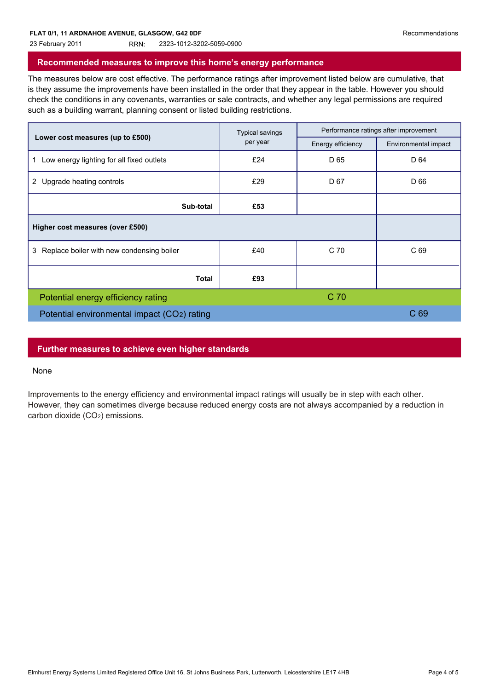#### 23 February 2011 RRN: 2323-1012-3202-5059-0900

#### **Recommended measures to improve this home's energy performance**

The measures below are cost effective. The performance ratings after improvement listed below are cumulative, that is they assume the improvements have been installed in the order that they appear in the table. However you should check the conditions in any covenants, warranties or sale contracts, and whether any legal permissions are required such as a building warrant, planning consent or listed building restrictions.

|                                                | <b>Typical savings</b><br>per year | Performance ratings after improvement |                      |
|------------------------------------------------|------------------------------------|---------------------------------------|----------------------|
| Lower cost measures (up to £500)               |                                    | Energy efficiency                     | Environmental impact |
| Low energy lighting for all fixed outlets      | £24                                | D <sub>65</sub>                       | D 64                 |
| 2 Upgrade heating controls                     | £29                                | D 67                                  | D 66                 |
| Sub-total                                      | £53                                |                                       |                      |
| Higher cost measures (over £500)               |                                    |                                       |                      |
| Replace boiler with new condensing boiler<br>3 | £40                                | C 70                                  | C 69                 |
| <b>Total</b>                                   | £93                                |                                       |                      |
| Potential energy efficiency rating             |                                    | C 70                                  |                      |
| Potential environmental impact (CO2) rating    |                                    | C <sub>69</sub>                       |                      |
|                                                |                                    |                                       |                      |

## **Further measures to achieve even higher standards**

#### None

Improvements to the energy efficiency and environmental impact ratings will usually be in step with each other. However, they can sometimes diverge because reduced energy costs are not always accompanied by a reduction in carbon dioxide (CO<sub>2</sub>) emissions.